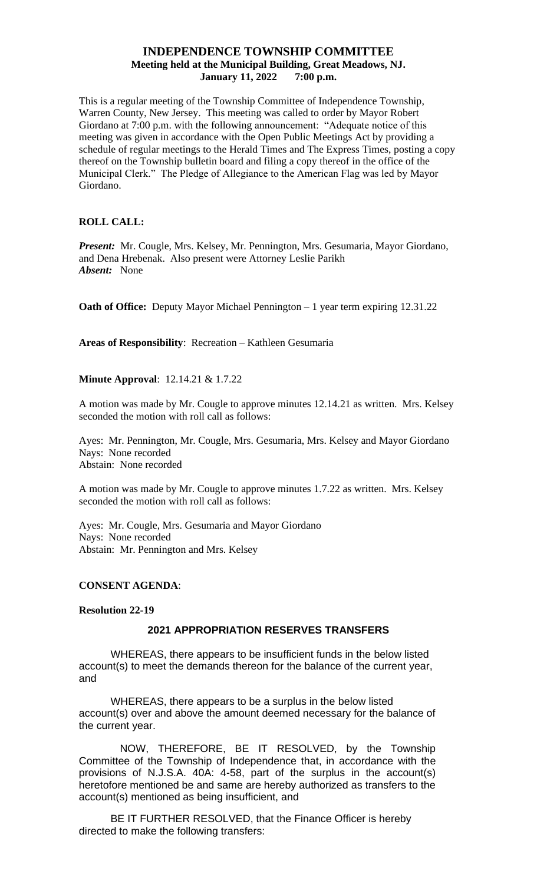# **INDEPENDENCE TOWNSHIP COMMITTEE Meeting held at the Municipal Building, Great Meadows, NJ. January 11, 2022 7:00 p.m.**

This is a regular meeting of the Township Committee of Independence Township, Warren County, New Jersey. This meeting was called to order by Mayor Robert Giordano at 7:00 p.m. with the following announcement: "Adequate notice of this meeting was given in accordance with the Open Public Meetings Act by providing a schedule of regular meetings to the Herald Times and The Express Times, posting a copy thereof on the Township bulletin board and filing a copy thereof in the office of the Municipal Clerk." The Pledge of Allegiance to the American Flag was led by Mayor Giordano.

## **ROLL CALL:**

*Present:* Mr. Cougle, Mrs. Kelsey, Mr. Pennington, Mrs. Gesumaria, Mayor Giordano, and Dena Hrebenak. Also present were Attorney Leslie Parikh *Absent:* None

**Oath of Office:** Deputy Mayor Michael Pennington – 1 year term expiring 12.31.22

**Areas of Responsibility**: Recreation – Kathleen Gesumaria

**Minute Approval:** 12.14.21 & 1.7.22

A motion was made by Mr. Cougle to approve minutes 12.14.21 as written. Mrs. Kelsey seconded the motion with roll call as follows:

Ayes: Mr. Pennington, Mr. Cougle, Mrs. Gesumaria, Mrs. Kelsey and Mayor Giordano Nays: None recorded Abstain: None recorded

A motion was made by Mr. Cougle to approve minutes 1.7.22 as written. Mrs. Kelsey seconded the motion with roll call as follows:

Ayes: Mr. Cougle, Mrs. Gesumaria and Mayor Giordano Nays: None recorded Abstain: Mr. Pennington and Mrs. Kelsey

### **CONSENT AGENDA**:

### **Resolution 22-19**

### **2021 APPROPRIATION RESERVES TRANSFERS**

WHEREAS, there appears to be insufficient funds in the below listed account(s) to meet the demands thereon for the balance of the current year, and

WHEREAS, there appears to be a surplus in the below listed account(s) over and above the amount deemed necessary for the balance of the current year.

NOW, THEREFORE, BE IT RESOLVED, by the Township Committee of the Township of Independence that, in accordance with the provisions of N.J.S.A. 40A: 4-58, part of the surplus in the account(s) heretofore mentioned be and same are hereby authorized as transfers to the account(s) mentioned as being insufficient, and

BE IT FURTHER RESOLVED, that the Finance Officer is hereby directed to make the following transfers: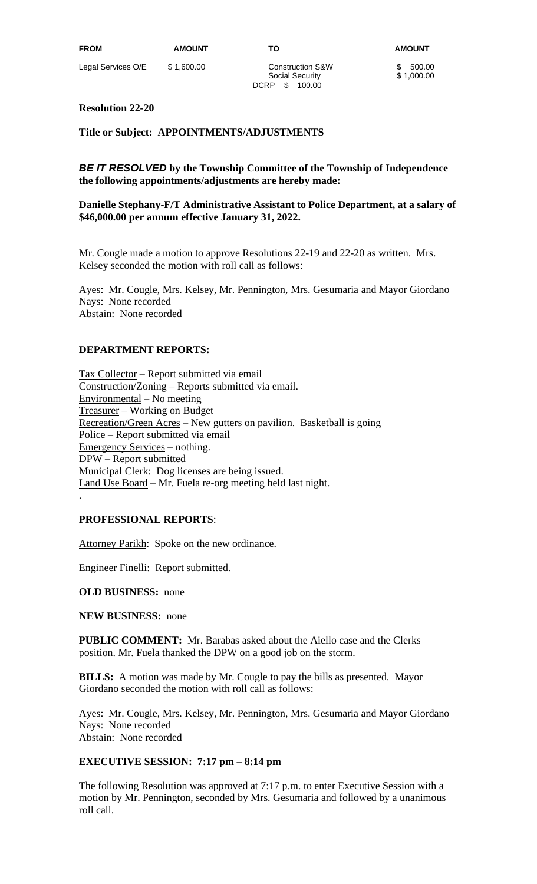# **Resolution 22-20**

**Title or Subject: APPOINTMENTS/ADJUSTMENTS**

### *BE IT RESOLVED* **by the Township Committee of the Township of Independence the following appointments/adjustments are hereby made:**

### **Danielle Stephany-F/T Administrative Assistant to Police Department, at a salary of \$46,000.00 per annum effective January 31, 2022.**

Mr. Cougle made a motion to approve Resolutions 22-19 and 22-20 as written. Mrs. Kelsey seconded the motion with roll call as follows:

Ayes: Mr. Cougle, Mrs. Kelsey, Mr. Pennington, Mrs. Gesumaria and Mayor Giordano Nays: None recorded Abstain: None recorded

### **DEPARTMENT REPORTS:**

Tax Collector – Report submitted via email Construction/Zoning – Reports submitted via email. Environmental – No meeting Treasurer – Working on Budget Recreation/Green Acres – New gutters on pavilion. Basketball is going Police – Report submitted via email Emergency Services – nothing. DPW – Report submitted Municipal Clerk: Dog licenses are being issued. Land Use Board - Mr. Fuela re-org meeting held last night. .

### **PROFESSIONAL REPORTS**:

Attorney Parikh: Spoke on the new ordinance.

Engineer Finelli: Report submitted.

**OLD BUSINESS:** none

**NEW BUSINESS:** none

**PUBLIC COMMENT:** Mr. Barabas asked about the Aiello case and the Clerks position. Mr. Fuela thanked the DPW on a good job on the storm.

**BILLS:** A motion was made by Mr. Cougle to pay the bills as presented. Mayor Giordano seconded the motion with roll call as follows:

Ayes: Mr. Cougle, Mrs. Kelsey, Mr. Pennington, Mrs. Gesumaria and Mayor Giordano Nays: None recorded Abstain: None recorded

### **EXECUTIVE SESSION: 7:17 pm – 8:14 pm**

The following Resolution was approved at 7:17 p.m. to enter Executive Session with a motion by Mr. Pennington, seconded by Mrs. Gesumaria and followed by a unanimous roll call.